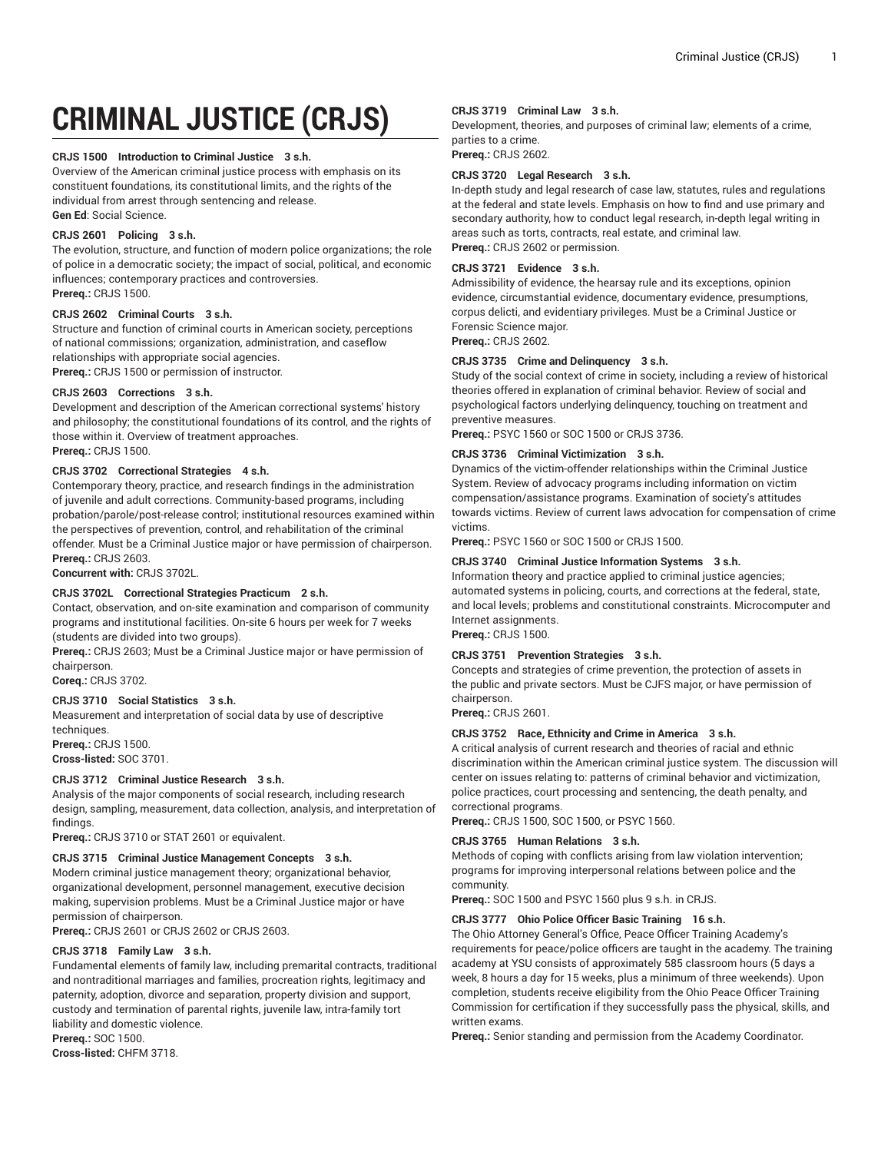# **CRIMINAL JUSTICE (CRJS)**

## **CRJS 1500 Introduction to Criminal Justice 3 s.h.**

Overview of the American criminal justice process with emphasis on its constituent foundations, its constitutional limits, and the rights of the individual from arrest through sentencing and release. **Gen Ed**: Social Science.

## **CRJS 2601 Policing 3 s.h.**

The evolution, structure, and function of modern police organizations; the role of police in a democratic society; the impact of social, political, and economic influences; contemporary practices and controversies. **Prereq.:** CRJS 1500.

# **CRJS 2602 Criminal Courts 3 s.h.**

Structure and function of criminal courts in American society, perceptions of national commissions; organization, administration, and caseflow relationships with appropriate social agencies. **Prereq.:** CRJS 1500 or permission of instructor.

# **CRJS 2603 Corrections 3 s.h.**

Development and description of the American correctional systems' history and philosophy; the constitutional foundations of its control, and the rights of those within it. Overview of treatment approaches. **Prereq.:** CRJS 1500.

# **CRJS 3702 Correctional Strategies 4 s.h.**

Contemporary theory, practice, and research findings in the administration of juvenile and adult corrections. Community-based programs, including probation/parole/post-release control; institutional resources examined within the perspectives of prevention, control, and rehabilitation of the criminal offender. Must be a Criminal Justice major or have permission of chairperson. **Prereq.:** CRJS 2603.

**Concurrent with:** CRJS 3702L.

# **CRJS 3702L Correctional Strategies Practicum 2 s.h.**

Contact, observation, and on-site examination and comparison of community programs and institutional facilities. On-site 6 hours per week for 7 weeks (students are divided into two groups).

**Prereq.:** CRJS 2603; Must be a Criminal Justice major or have permission of chairperson.

**Coreq.:** CRJS 3702.

## **CRJS 3710 Social Statistics 3 s.h.**

Measurement and interpretation of social data by use of descriptive techniques.

**Prereq.:** CRJS 1500. **Cross-listed:** SOC 3701.

#### **CRJS 3712 Criminal Justice Research 3 s.h.**

Analysis of the major components of social research, including research design, sampling, measurement, data collection, analysis, and interpretation of findings.

**Prereq.:** CRJS 3710 or STAT 2601 or equivalent.

# **CRJS 3715 Criminal Justice Management Concepts 3 s.h.**

Modern criminal justice management theory; organizational behavior, organizational development, personnel management, executive decision making, supervision problems. Must be a Criminal Justice major or have permission of chairperson.

**Prereq.:** CRJS 2601 or CRJS 2602 or CRJS 2603.

## **CRJS 3718 Family Law 3 s.h.**

Fundamental elements of family law, including premarital contracts, traditional and nontraditional marriages and families, procreation rights, legitimacy and paternity, adoption, divorce and separation, property division and support, custody and termination of parental rights, juvenile law, intra-family tort liability and domestic violence.

**Prereq.:** SOC 1500. **Cross-listed:** CHFM 3718.

# **CRJS 3719 Criminal Law 3 s.h.**

Development, theories, and purposes of criminal law; elements of a crime, parties to a crime.

**Prereq.:** CRJS 2602.

# **CRJS 3720 Legal Research 3 s.h.**

In-depth study and legal research of case law, statutes, rules and regulations at the federal and state levels. Emphasis on how to find and use primary and secondary authority, how to conduct legal research, in-depth legal writing in areas such as torts, contracts, real estate, and criminal law. **Prereq.:** CRJS 2602 or permission.

#### **CRJS 3721 Evidence 3 s.h.**

Admissibility of evidence, the hearsay rule and its exceptions, opinion evidence, circumstantial evidence, documentary evidence, presumptions, corpus delicti, and evidentiary privileges. Must be a Criminal Justice or Forensic Science major.

**Prereq.:** CRJS 2602.

# **CRJS 3735 Crime and Delinquency 3 s.h.**

Study of the social context of crime in society, including a review of historical theories offered in explanation of criminal behavior. Review of social and psychological factors underlying delinquency, touching on treatment and preventive measures.

**Prereq.:** PSYC 1560 or SOC 1500 or CRJS 3736.

# **CRJS 3736 Criminal Victimization 3 s.h.**

Dynamics of the victim-offender relationships within the Criminal Justice System. Review of advocacy programs including information on victim compensation/assistance programs. Examination of society's attitudes towards victims. Review of current laws advocation for compensation of crime victims.

**Prereq.:** PSYC 1560 or SOC 1500 or CRJS 1500.

# **CRJS 3740 Criminal Justice Information Systems 3 s.h.**

Information theory and practice applied to criminal justice agencies; automated systems in policing, courts, and corrections at the federal, state, and local levels; problems and constitutional constraints. Microcomputer and Internet assignments.

**Prereq.:** CRJS 1500.

# **CRJS 3751 Prevention Strategies 3 s.h.**

Concepts and strategies of crime prevention, the protection of assets in the public and private sectors. Must be CJFS major, or have permission of chairperson.

**Prereq.:** CRJS 2601.

## **CRJS 3752 Race, Ethnicity and Crime in America 3 s.h.**

A critical analysis of current research and theories of racial and ethnic discrimination within the American criminal justice system. The discussion will center on issues relating to: patterns of criminal behavior and victimization, police practices, court processing and sentencing, the death penalty, and correctional programs.

**Prereq.:** CRJS 1500, SOC 1500, or PSYC 1560.

## **CRJS 3765 Human Relations 3 s.h.**

Methods of coping with conflicts arising from law violation intervention; programs for improving interpersonal relations between police and the community.

**Prereq.:** SOC 1500 and PSYC 1560 plus 9 s.h. in CRJS.

# **CRJS 3777 Ohio Police Officer Basic Training 16 s.h.**

The Ohio Attorney General's Office, Peace Officer Training Academy's requirements for peace/police officers are taught in the academy. The training academy at YSU consists of approximately 585 classroom hours (5 days a week, 8 hours a day for 15 weeks, plus a minimum of three weekends). Upon completion, students receive eligibility from the Ohio Peace Officer Training Commission for certification if they successfully pass the physical, skills, and written exams.

**Prereq.:** Senior standing and permission from the Academy Coordinator.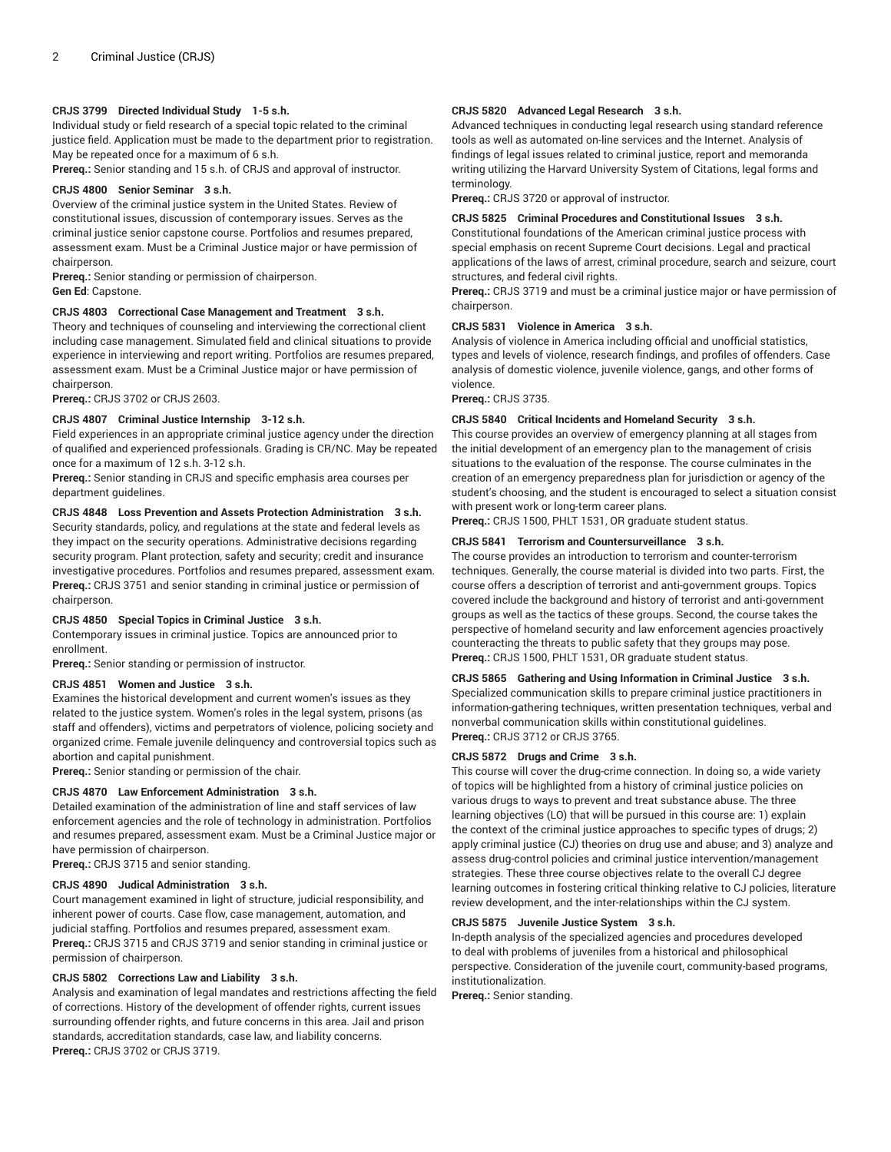# **CRJS 3799 Directed Individual Study 1-5 s.h.**

Individual study or field research of a special topic related to the criminal justice field. Application must be made to the department prior to registration. May be repeated once for a maximum of 6 s.h.

**Prereq.:** Senior standing and 15 s.h. of CRJS and approval of instructor.

## **CRJS 4800 Senior Seminar 3 s.h.**

Overview of the criminal justice system in the United States. Review of constitutional issues, discussion of contemporary issues. Serves as the criminal justice senior capstone course. Portfolios and resumes prepared, assessment exam. Must be a Criminal Justice major or have permission of chairperson.

**Prereq.:** Senior standing or permission of chairperson.

**Gen Ed**: Capstone.

## **CRJS 4803 Correctional Case Management and Treatment 3 s.h.**

Theory and techniques of counseling and interviewing the correctional client including case management. Simulated field and clinical situations to provide experience in interviewing and report writing. Portfolios are resumes prepared, assessment exam. Must be a Criminal Justice major or have permission of chairperson.

**Prereq.:** CRJS 3702 or CRJS 2603.

## **CRJS 4807 Criminal Justice Internship 3-12 s.h.**

Field experiences in an appropriate criminal justice agency under the direction of qualified and experienced professionals. Grading is CR/NC. May be repeated once for a maximum of 12 s.h. 3-12 s.h.

**Prereq.:** Senior standing in CRJS and specific emphasis area courses per department guidelines.

# **CRJS 4848 Loss Prevention and Assets Protection Administration 3 s.h.**

Security standards, policy, and regulations at the state and federal levels as they impact on the security operations. Administrative decisions regarding security program. Plant protection, safety and security; credit and insurance investigative procedures. Portfolios and resumes prepared, assessment exam. **Prereq.:** CRJS 3751 and senior standing in criminal justice or permission of chairperson.

#### **CRJS 4850 Special Topics in Criminal Justice 3 s.h.**

Contemporary issues in criminal justice. Topics are announced prior to enrollment.

**Prereq.:** Senior standing or permission of instructor.

## **CRJS 4851 Women and Justice 3 s.h.**

Examines the historical development and current women's issues as they related to the justice system. Women's roles in the legal system, prisons (as staff and offenders), victims and perpetrators of violence, policing society and organized crime. Female juvenile delinquency and controversial topics such as abortion and capital punishment.

**Prereq.:** Senior standing or permission of the chair.

# **CRJS 4870 Law Enforcement Administration 3 s.h.**

Detailed examination of the administration of line and staff services of law enforcement agencies and the role of technology in administration. Portfolios and resumes prepared, assessment exam. Must be a Criminal Justice major or have permission of chairperson.

**Prereq.:** CRJS 3715 and senior standing.

#### **CRJS 4890 Judical Administration 3 s.h.**

Court management examined in light of structure, judicial responsibility, and inherent power of courts. Case flow, case management, automation, and judicial staffing. Portfolios and resumes prepared, assessment exam. **Prereq.:** CRJS 3715 and CRJS 3719 and senior standing in criminal justice or permission of chairperson.

#### **CRJS 5802 Corrections Law and Liability 3 s.h.**

Analysis and examination of legal mandates and restrictions affecting the field of corrections. History of the development of offender rights, current issues surrounding offender rights, and future concerns in this area. Jail and prison standards, accreditation standards, case law, and liability concerns. **Prereq.:** CRJS 3702 or CRJS 3719.

#### **CRJS 5820 Advanced Legal Research 3 s.h.**

Advanced techniques in conducting legal research using standard reference tools as well as automated on-line services and the Internet. Analysis of findings of legal issues related to criminal justice, report and memoranda writing utilizing the Harvard University System of Citations, legal forms and terminology.

**Prereq.:** CRJS 3720 or approval of instructor.

#### **CRJS 5825 Criminal Procedures and Constitutional Issues 3 s.h.**

Constitutional foundations of the American criminal justice process with special emphasis on recent Supreme Court decisions. Legal and practical applications of the laws of arrest, criminal procedure, search and seizure, court structures, and federal civil rights.

**Prereq.:** CRJS 3719 and must be a criminal justice major or have permission of chairperson.

## **CRJS 5831 Violence in America 3 s.h.**

Analysis of violence in America including official and unofficial statistics, types and levels of violence, research findings, and profiles of offenders. Case analysis of domestic violence, juvenile violence, gangs, and other forms of violence.

**Prereq.:** CRJS 3735.

## **CRJS 5840 Critical Incidents and Homeland Security 3 s.h.**

This course provides an overview of emergency planning at all stages from the initial development of an emergency plan to the management of crisis situations to the evaluation of the response. The course culminates in the creation of an emergency preparedness plan for jurisdiction or agency of the student's choosing, and the student is encouraged to select a situation consist with present work or long-term career plans.

**Prereq.:** CRJS 1500, PHLT 1531, OR graduate student status.

## **CRJS 5841 Terrorism and Countersurveillance 3 s.h.**

The course provides an introduction to terrorism and counter-terrorism techniques. Generally, the course material is divided into two parts. First, the course offers a description of terrorist and anti-government groups. Topics covered include the background and history of terrorist and anti-government groups as well as the tactics of these groups. Second, the course takes the perspective of homeland security and law enforcement agencies proactively counteracting the threats to public safety that they groups may pose. **Prereq.:** CRJS 1500, PHLT 1531, OR graduate student status.

**CRJS 5865 Gathering and Using Information in Criminal Justice 3 s.h.** Specialized communication skills to prepare criminal justice practitioners in information-gathering techniques, written presentation techniques, verbal and nonverbal communication skills within constitutional guidelines. **Prereq.:** CRJS 3712 or CRJS 3765.

#### **CRJS 5872 Drugs and Crime 3 s.h.**

This course will cover the drug-crime connection. In doing so, a wide variety of topics will be highlighted from a history of criminal justice policies on various drugs to ways to prevent and treat substance abuse. The three learning objectives (LO) that will be pursued in this course are: 1) explain the context of the criminal justice approaches to specific types of drugs; 2) apply criminal justice (CJ) theories on drug use and abuse; and 3) analyze and assess drug-control policies and criminal justice intervention/management strategies. These three course objectives relate to the overall CJ degree learning outcomes in fostering critical thinking relative to CJ policies, literature review development, and the inter-relationships within the CJ system.

#### **CRJS 5875 Juvenile Justice System 3 s.h.**

In-depth analysis of the specialized agencies and procedures developed to deal with problems of juveniles from a historical and philosophical perspective. Consideration of the juvenile court, community-based programs, institutionalization.

**Prereq.:** Senior standing.